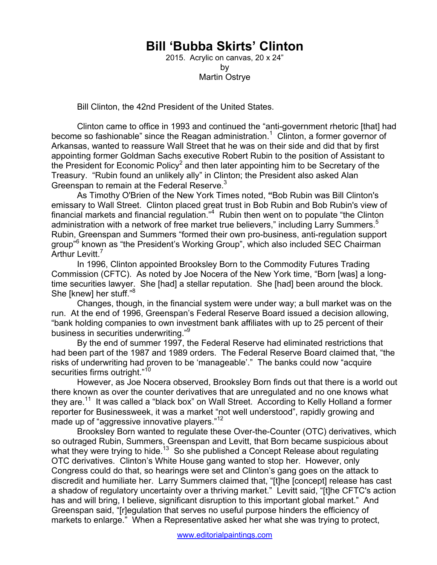## **Bill 'Bubba Skirts' Clinton**

2015. Acrylic on canvas, 20 x 24" by Martin Ostrye

Bill Clinton, the 42nd President of the United States.

Clinton came to office in 1993 and continued the "anti-government rhetoric [that] had become so fashionable" since the Reagan administration.<sup>1</sup> Clinton, a former governor of Arkansas, wanted to reassure Wall Street that he was on their side and did that by first appointing former Goldman Sachs executive Robert Rubin to the position of Assistant to the President for Economic Policy<sup>2</sup> and then later appointing him to be Secretary of the Treasury. "Rubin found an unlikely ally" in Clinton; the President also asked Alan Greenspan to remain at the Federal Reserve.<sup>3</sup>

As Timothy O'Brien of the New York Times noted, **"**Bob Rubin was Bill Clinton's emissary to Wall Street. Clinton placed great trust in Bob Rubin and Bob Rubin's view of financial markets and financial regulation."<sup>4</sup> Rubin then went on to populate "the Clinton administration with a network of free market true believers," including Larry Summers.<sup>5</sup> Rubin, Greenspan and Summers "formed their own pro-business, anti-regulation support group"<sup>6</sup> known as "the President's Working Group", which also included SEC Chairman Arthur Levitt.<sup>7</sup>

In 1996, Clinton appointed Brooksley Born to the Commodity Futures Trading Commission (CFTC). As noted by Joe Nocera of the New York time, "Born [was] a longtime securities lawyer. She [had] a stellar reputation. She [had] been around the block. She [knew] her stuff."<sup>8</sup>

Changes, though, in the financial system were under way; a bull market was on the run. At the end of 1996, Greenspan's Federal Reserve Board issued a decision allowing, "bank holding companies to own investment bank affiliates with up to 25 percent of their business in securities underwriting."<sup>9</sup>

By the end of summer 1997, the Federal Reserve had eliminated restrictions that had been part of the 1987 and 1989 orders. The Federal Reserve Board claimed that, "the risks of underwriting had proven to be 'manageable'." The banks could now "acquire securities firms outright."<sup>10</sup>

However, as Joe Nocera observed, Brooksley Born finds out that there is a world out there known as over the counter derivatives that are unregulated and no one knows what they are.<sup>11</sup> It was called a "black box" on Wall Street. According to Kelly Holland a former reporter for Businessweek, it was a market "not well understood", rapidly growing and made up of "aggressive innovative players."<sup>12</sup>

Brooksley Born wanted to regulate these Over-the-Counter (OTC) derivatives, which so outraged Rubin, Summers, Greenspan and Levitt, that Born became suspicious about what they were trying to hide.<sup>13</sup> So she published a Concept Release about regulating OTC derivatives. Clinton's White House gang wanted to stop her. However, only Congress could do that, so hearings were set and Clinton's gang goes on the attack to discredit and humiliate her. Larry Summers claimed that, "[t]he [concept] release has cast a shadow of regulatory uncertainty over a thriving market." Levitt said, "[t]he CFTC's action has and will bring, I believe, significant disruption to this important global market." And Greenspan said, "[r]egulation that serves no useful purpose hinders the efficiency of markets to enlarge." When a Representative asked her what she was trying to protect,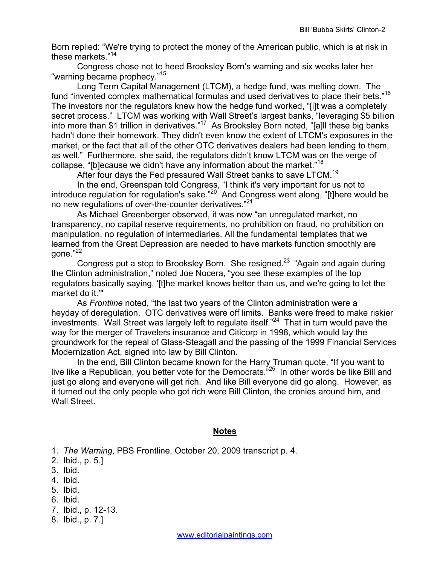Born replied: "We're trying to protect the money of the American public, which is at risk in these markets."<sup>14</sup>

 Congress chose not to heed Brooksley Born's warning and six weeks later her "warning became prophecy."<sup>15</sup>

 Long Term Capital Management (LTCM), a hedge fund, was melting down. The fund "invented complex mathematical formulas and used derivatives to place their bets."16 The investors nor the regulators knew how the hedge fund worked, "[i]t was a completely secret process." LTCM was working with Wall Street's largest banks, "leveraging \$5 billion into more than \$1 trillion in derivatives."17 As Brooksley Born noted, "[a]ll these big banks hadn't done their homework. They didn't even know the extent of LTCM's exposures in the market, or the fact that all of the other OTC derivatives dealers had been lending to them, as well." Furthermore, she said, the regulators didn't know LTCM was on the verge of collapse, "[b]ecause we didn't have any information about the market."<sup>18</sup>

After four days the Fed pressured Wall Street banks to save LTCM.<sup>19</sup>

 In the end, Greenspan told Congress, "I think it's very important for us not to introduce regulation for regulation's sake."<sup>20</sup> And Congress went along, "[t]here would be no new regulations of over-the-counter derivatives."<sup>21</sup>

 As Michael Greenberger observed, it was now "an unregulated market, no transparency, no capital reserve requirements, no prohibition on fraud, no prohibition on manipulation, no regulation of intermediaries. All the fundamental templates that we learned from the Great Depression are needed to have markets function smoothly are gone."<sup>22</sup>

Congress put a stop to Brooksley Born. She resigned.<sup>23</sup> "Again and again during the Clinton administration," noted Joe Nocera, "you see these examples of the top regulators basically saying, '[t]he market knows better than us, and we're going to let the market do it.'"

As *Frontline* noted, "the last two years of the Clinton administration were a heyday of deregulation. OTC derivatives were off limits. Banks were freed to make riskier investments. Wall Street was largely left to regulate itself."24 That in turn would pave the way for the merger of Travelers insurance and Citicorp in 1998, which would lay the groundwork for the repeal of Glass-Steagall and the passing of the 1999 Financial Services Modernization Act, signed into law by Bill Clinton.

 In the end, Bill Clinton became known for the Harry Truman quote, "If you want to live like a Republican, you better vote for the Democrats.<sup>"25</sup> In other words be like Bill and just go along and everyone will get rich. And like Bill everyone did go along. However, as it turned out the only people who got rich were Bill Clinton, the cronies around him, and Wall Street.

## **Notes**

- 1. *The Warning*, PBS Frontline, October 20, 2009 transcript p. 4.
- 2. Ibid., p. 5.]
- 3. Ibid.
- 4. Ibid.
- 5. Ibid.
- 6. Ibid.
- 7. Ibid., p. 12-13.
- 8. Ibid., p. 7.]